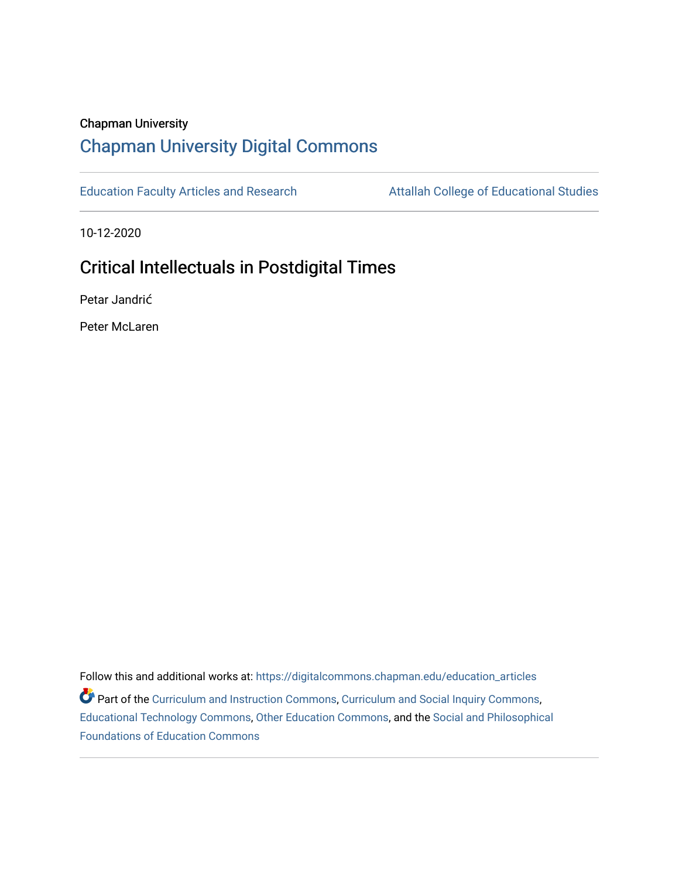## Chapman University [Chapman University Digital Commons](https://digitalcommons.chapman.edu/)

[Education Faculty Articles and Research](https://digitalcommons.chapman.edu/education_articles) Attallah College of Educational Studies

10-12-2020

# Critical Intellectuals in Postdigital Times

Petar Jandrić

Peter McLaren

Follow this and additional works at: [https://digitalcommons.chapman.edu/education\\_articles](https://digitalcommons.chapman.edu/education_articles?utm_source=digitalcommons.chapman.edu%2Feducation_articles%2F278&utm_medium=PDF&utm_campaign=PDFCoverPages) Part of the [Curriculum and Instruction Commons,](http://network.bepress.com/hgg/discipline/786?utm_source=digitalcommons.chapman.edu%2Feducation_articles%2F278&utm_medium=PDF&utm_campaign=PDFCoverPages) [Curriculum and Social Inquiry Commons,](http://network.bepress.com/hgg/discipline/1038?utm_source=digitalcommons.chapman.edu%2Feducation_articles%2F278&utm_medium=PDF&utm_campaign=PDFCoverPages) [Educational Technology Commons](http://network.bepress.com/hgg/discipline/1415?utm_source=digitalcommons.chapman.edu%2Feducation_articles%2F278&utm_medium=PDF&utm_campaign=PDFCoverPages), [Other Education Commons,](http://network.bepress.com/hgg/discipline/811?utm_source=digitalcommons.chapman.edu%2Feducation_articles%2F278&utm_medium=PDF&utm_campaign=PDFCoverPages) and the [Social and Philosophical](http://network.bepress.com/hgg/discipline/799?utm_source=digitalcommons.chapman.edu%2Feducation_articles%2F278&utm_medium=PDF&utm_campaign=PDFCoverPages) [Foundations of Education Commons](http://network.bepress.com/hgg/discipline/799?utm_source=digitalcommons.chapman.edu%2Feducation_articles%2F278&utm_medium=PDF&utm_campaign=PDFCoverPages)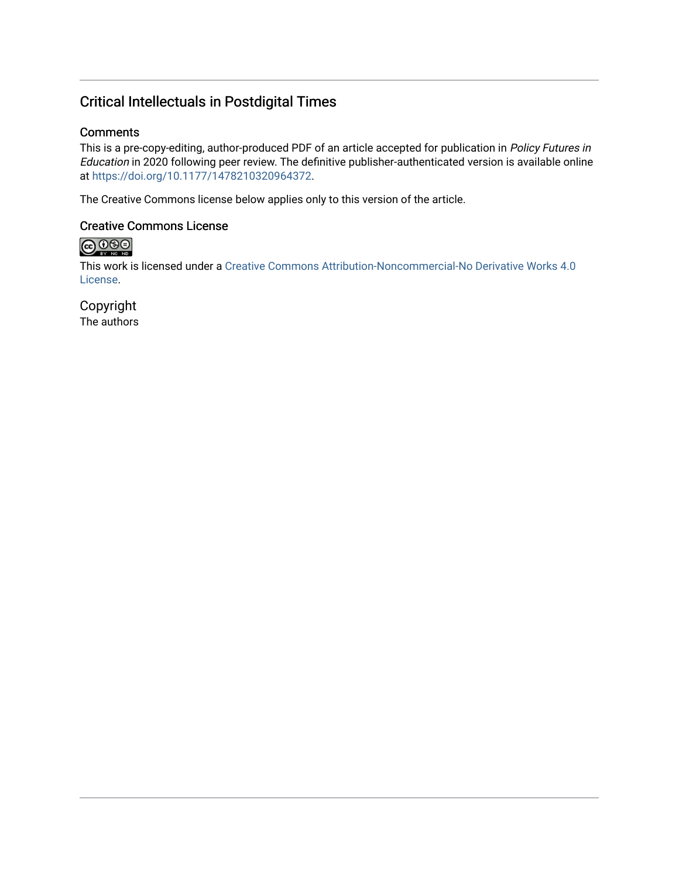### Critical Intellectuals in Postdigital Times

#### **Comments**

This is a pre-copy-editing, author-produced PDF of an article accepted for publication in Policy Futures in Education in 2020 following peer review. The definitive publisher-authenticated version is available online at [https://doi.org/10.1177/1478210320964372.](https://doi.org/10.1177/1478210320964372)

The Creative Commons license below applies only to this version of the article.

#### Creative Commons License



This work is licensed under a [Creative Commons Attribution-Noncommercial-No Derivative Works 4.0](https://creativecommons.org/licenses/by-nc-nd/4.0/) [License](https://creativecommons.org/licenses/by-nc-nd/4.0/).

Copyright The authors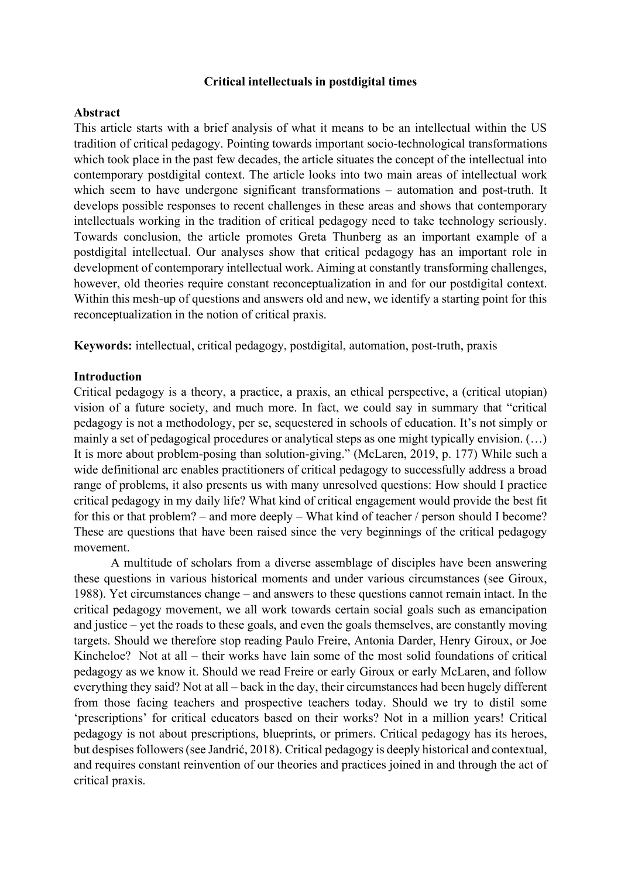#### **Critical intellectuals in postdigital times**

#### **Abstract**

This article starts with a brief analysis of what it means to be an intellectual within the US tradition of critical pedagogy. Pointing towards important socio-technological transformations which took place in the past few decades, the article situates the concept of the intellectual into contemporary postdigital context. The article looks into two main areas of intellectual work which seem to have undergone significant transformations – automation and post-truth. It develops possible responses to recent challenges in these areas and shows that contemporary intellectuals working in the tradition of critical pedagogy need to take technology seriously. Towards conclusion, the article promotes Greta Thunberg as an important example of a postdigital intellectual. Our analyses show that critical pedagogy has an important role in development of contemporary intellectual work. Aiming at constantly transforming challenges, however, old theories require constant reconceptualization in and for our postdigital context. Within this mesh-up of questions and answers old and new, we identify a starting point for this reconceptualization in the notion of critical praxis.

**Keywords:** intellectual, critical pedagogy, postdigital, automation, post-truth, praxis

#### **Introduction**

Critical pedagogy is a theory, a practice, a praxis, an ethical perspective, a (critical utopian) vision of a future society, and much more. In fact, we could say in summary that "critical pedagogy is not a methodology, per se, sequestered in schools of education. It's not simply or mainly a set of pedagogical procedures or analytical steps as one might typically envision. (…) It is more about problem-posing than solution-giving." (McLaren, 2019, p. 177) While such a wide definitional arc enables practitioners of critical pedagogy to successfully address a broad range of problems, it also presents us with many unresolved questions: How should I practice critical pedagogy in my daily life? What kind of critical engagement would provide the best fit for this or that problem? – and more deeply – What kind of teacher / person should I become? These are questions that have been raised since the very beginnings of the critical pedagogy movement.

A multitude of scholars from a diverse assemblage of disciples have been answering these questions in various historical moments and under various circumstances (see Giroux, 1988). Yet circumstances change – and answers to these questions cannot remain intact. In the critical pedagogy movement, we all work towards certain social goals such as emancipation and justice – yet the roads to these goals, and even the goals themselves, are constantly moving targets. Should we therefore stop reading Paulo Freire, Antonia Darder, Henry Giroux, or Joe Kincheloe? Not at all – their works have lain some of the most solid foundations of critical pedagogy as we know it. Should we read Freire or early Giroux or early McLaren, and follow everything they said? Not at all – back in the day, their circumstances had been hugely different from those facing teachers and prospective teachers today. Should we try to distil some 'prescriptions' for critical educators based on their works? Not in a million years! Critical pedagogy is not about prescriptions, blueprints, or primers. Critical pedagogy has its heroes, but despises followers(see Jandrić, 2018). Critical pedagogy is deeply historical and contextual, and requires constant reinvention of our theories and practices joined in and through the act of critical praxis.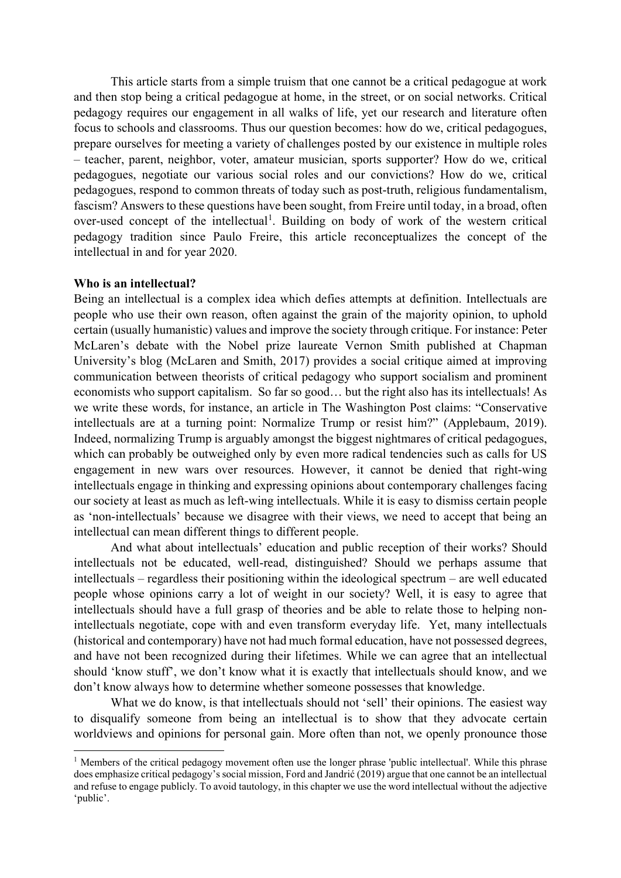This article starts from a simple truism that one cannot be a critical pedagogue at work and then stop being a critical pedagogue at home, in the street, or on social networks. Critical pedagogy requires our engagement in all walks of life, yet our research and literature often focus to schools and classrooms. Thus our question becomes: how do we, critical pedagogues, prepare ourselves for meeting a variety of challenges posted by our existence in multiple roles – teacher, parent, neighbor, voter, amateur musician, sports supporter? How do we, critical pedagogues, negotiate our various social roles and our convictions? How do we, critical pedagogues, respond to common threats of today such as post-truth, religious fundamentalism, fascism? Answers to these questions have been sought, from Freire until today, in a broad, often over-used concept of the intellectual<sup>[1](#page-3-0)</sup>. Building on body of work of the western critical pedagogy tradition since Paulo Freire, this article reconceptualizes the concept of the intellectual in and for year 2020.

#### **Who is an intellectual?**

Being an intellectual is a complex idea which defies attempts at definition. Intellectuals are people who use their own reason, often against the grain of the majority opinion, to uphold certain (usually humanistic) values and improve the society through critique. For instance: Peter McLaren's debate with the Nobel prize laureate Vernon Smith published at Chapman University's blog (McLaren and Smith, 2017) provides a social critique aimed at improving communication between theorists of critical pedagogy who support socialism and prominent economists who support capitalism. So far so good… but the right also has its intellectuals! As we write these words, for instance, an article in The Washington Post claims: "Conservative intellectuals are at a turning point: Normalize Trump or resist him?" (Applebaum, 2019). Indeed, normalizing Trump is arguably amongst the biggest nightmares of critical pedagogues, which can probably be outweighed only by even more radical tendencies such as calls for US engagement in new wars over resources. However, it cannot be denied that right-wing intellectuals engage in thinking and expressing opinions about contemporary challenges facing our society at least as much as left-wing intellectuals. While it is easy to dismiss certain people as 'non-intellectuals' because we disagree with their views, we need to accept that being an intellectual can mean different things to different people.

And what about intellectuals' education and public reception of their works? Should intellectuals not be educated, well-read, distinguished? Should we perhaps assume that intellectuals – regardless their positioning within the ideological spectrum – are well educated people whose opinions carry a lot of weight in our society? Well, it is easy to agree that intellectuals should have a full grasp of theories and be able to relate those to helping nonintellectuals negotiate, cope with and even transform everyday life. Yet, many intellectuals (historical and contemporary) have not had much formal education, have not possessed degrees, and have not been recognized during their lifetimes. While we can agree that an intellectual should 'know stuff', we don't know what it is exactly that intellectuals should know, and we don't know always how to determine whether someone possesses that knowledge.

What we do know, is that intellectuals should not 'sell' their opinions. The easiest way to disqualify someone from being an intellectual is to show that they advocate certain worldviews and opinions for personal gain. More often than not, we openly pronounce those

<span id="page-3-0"></span><sup>&</sup>lt;sup>1</sup> Members of the critical pedagogy movement often use the longer phrase 'public intellectual'. While this phrase does emphasize critical pedagogy's social mission, Ford and Jandrić (2019) argue that one cannot be an intellectual and refuse to engage publicly. To avoid tautology, in this chapter we use the word intellectual without the adjective 'public'.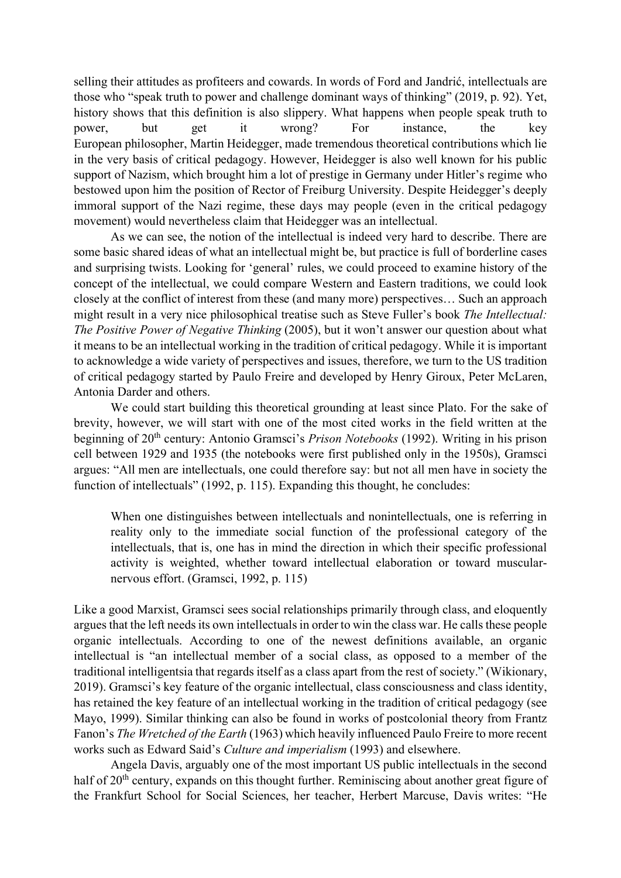selling their attitudes as profiteers and cowards. In words of Ford and Jandrić, intellectuals are those who "speak truth to power and challenge dominant ways of thinking" (2019, p. 92). Yet, history shows that this definition is also slippery. What happens when people speak truth to power, but get it wrong? For instance, the key European philosopher, Martin Heidegger, made tremendous theoretical contributions which lie in the very basis of critical pedagogy. However, Heidegger is also well known for his public support of Nazism, which brought him a lot of prestige in Germany under Hitler's regime who bestowed upon him the position of Rector of Freiburg University. Despite Heidegger's deeply immoral support of the Nazi regime, these days may people (even in the critical pedagogy movement) would nevertheless claim that Heidegger was an intellectual.

As we can see, the notion of the intellectual is indeed very hard to describe. There are some basic shared ideas of what an intellectual might be, but practice is full of borderline cases and surprising twists. Looking for 'general' rules, we could proceed to examine history of the concept of the intellectual, we could compare Western and Eastern traditions, we could look closely at the conflict of interest from these (and many more) perspectives… Such an approach might result in a very nice philosophical treatise such as Steve Fuller's book *The Intellectual: The Positive Power of Negative Thinking* (2005), but it won't answer our question about what it means to be an intellectual working in the tradition of critical pedagogy. While it is important to acknowledge a wide variety of perspectives and issues, therefore, we turn to the US tradition of critical pedagogy started by Paulo Freire and developed by Henry Giroux, Peter McLaren, Antonia Darder and others.

We could start building this theoretical grounding at least since Plato. For the sake of brevity, however, we will start with one of the most cited works in the field written at the beginning of 20th century: Antonio Gramsci's *Prison Notebooks* (1992). Writing in his prison cell between 1929 and 1935 (the notebooks were first published only in the 1950s), Gramsci argues: "All men are intellectuals, one could therefore say: but not all men have in society the function of intellectuals" (1992, p. 115). Expanding this thought, he concludes:

When one distinguishes between intellectuals and nonintellectuals, one is referring in reality only to the immediate social function of the professional category of the intellectuals, that is, one has in mind the direction in which their specific professional activity is weighted, whether toward intellectual elaboration or toward muscularnervous effort. (Gramsci, 1992, p. 115)

Like a good Marxist, Gramsci sees social relationships primarily through class, and eloquently argues that the left needs its own intellectuals in order to win the class war. He calls these people organic intellectuals. According to one of the newest definitions available, an organic intellectual is "an intellectual member of a social class, as opposed to a member of the traditional intelligentsia that regards itself as a class apart from the rest of society." (Wikionary, 2019). Gramsci's key feature of the organic intellectual, class consciousness and class identity, has retained the key feature of an intellectual working in the tradition of critical pedagogy (see Mayo, 1999). Similar thinking can also be found in works of postcolonial theory from Frantz Fanon's *The Wretched of the Earth* (1963) which heavily influenced Paulo Freire to more recent works such as Edward Said's *Culture and imperialism* (1993) and elsewhere.

Angela Davis, arguably one of the most important US public intellectuals in the second half of 20<sup>th</sup> century, expands on this thought further. Reminiscing about another great figure of the Frankfurt School for Social Sciences, her teacher, Herbert Marcuse, Davis writes: "He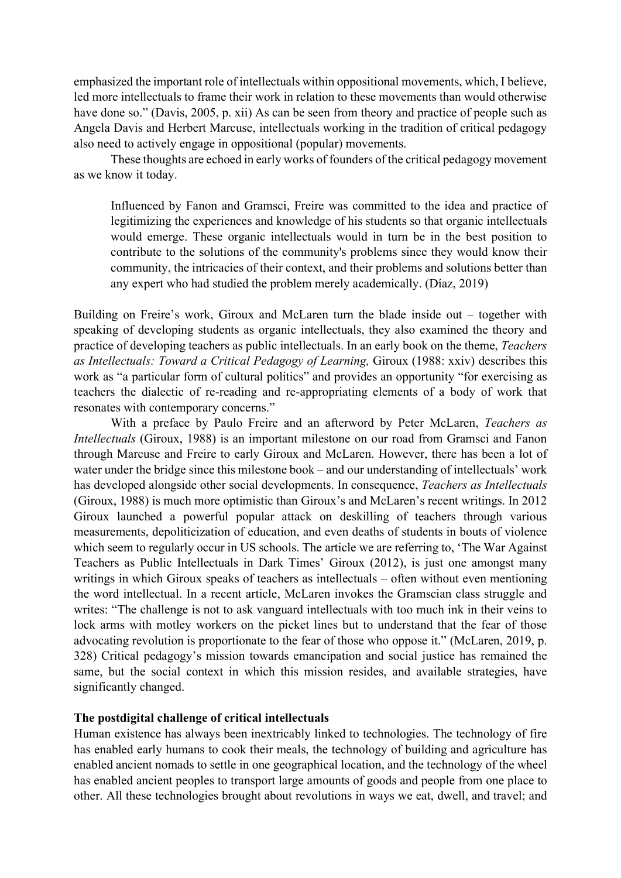emphasized the important role of intellectuals within oppositional movements, which, I believe, led more intellectuals to frame their work in relation to these movements than would otherwise have done so." (Davis, 2005, p. xii) As can be seen from theory and practice of people such as Angela Davis and Herbert Marcuse, intellectuals working in the tradition of critical pedagogy also need to actively engage in oppositional (popular) movements.

These thoughts are echoed in early works of founders of the critical pedagogy movement as we know it today.

Influenced by Fanon and Gramsci, Freire was committed to the idea and practice of legitimizing the experiences and knowledge of his students so that organic intellectuals would emerge. These organic intellectuals would in turn be in the best position to contribute to the solutions of the community's problems since they would know their community, the intricacies of their context, and their problems and solutions better than any expert who had studied the problem merely academically. (Díaz, 2019)

Building on Freire's work, Giroux and McLaren turn the blade inside out – together with speaking of developing students as organic intellectuals, they also examined the theory and practice of developing teachers as public intellectuals. In an early book on the theme, *Teachers as Intellectuals: Toward a Critical Pedagogy of Learning,* Giroux (1988: xxiv) describes this work as "a particular form of cultural politics" and provides an opportunity "for exercising as teachers the dialectic of re-reading and re-appropriating elements of a body of work that resonates with contemporary concerns."

With a preface by Paulo Freire and an afterword by Peter McLaren, *Teachers as Intellectuals* (Giroux, 1988) is an important milestone on our road from Gramsci and Fanon through Marcuse and Freire to early Giroux and McLaren. However, there has been a lot of water under the bridge since this milestone book – and our understanding of intellectuals' work has developed alongside other social developments. In consequence, *Teachers as Intellectuals* (Giroux, 1988) is much more optimistic than Giroux's and McLaren's recent writings. In 2012 Giroux launched a powerful popular attack on deskilling of teachers through various measurements, depoliticization of education, and even deaths of students in bouts of violence which seem to regularly occur in US schools. The article we are referring to, 'The War Against Teachers as Public Intellectuals in Dark Times' Giroux (2012), is just one amongst many writings in which Giroux speaks of teachers as intellectuals – often without even mentioning the word intellectual. In a recent article, McLaren invokes the Gramscian class struggle and writes: "The challenge is not to ask vanguard intellectuals with too much ink in their veins to lock arms with motley workers on the picket lines but to understand that the fear of those advocating revolution is proportionate to the fear of those who oppose it." (McLaren, 2019, p. 328) Critical pedagogy's mission towards emancipation and social justice has remained the same, but the social context in which this mission resides, and available strategies, have significantly changed.

#### **The postdigital challenge of critical intellectuals**

Human existence has always been inextricably linked to technologies. The technology of fire has enabled early humans to cook their meals, the technology of building and agriculture has enabled ancient nomads to settle in one geographical location, and the technology of the wheel has enabled ancient peoples to transport large amounts of goods and people from one place to other. All these technologies brought about revolutions in ways we eat, dwell, and travel; and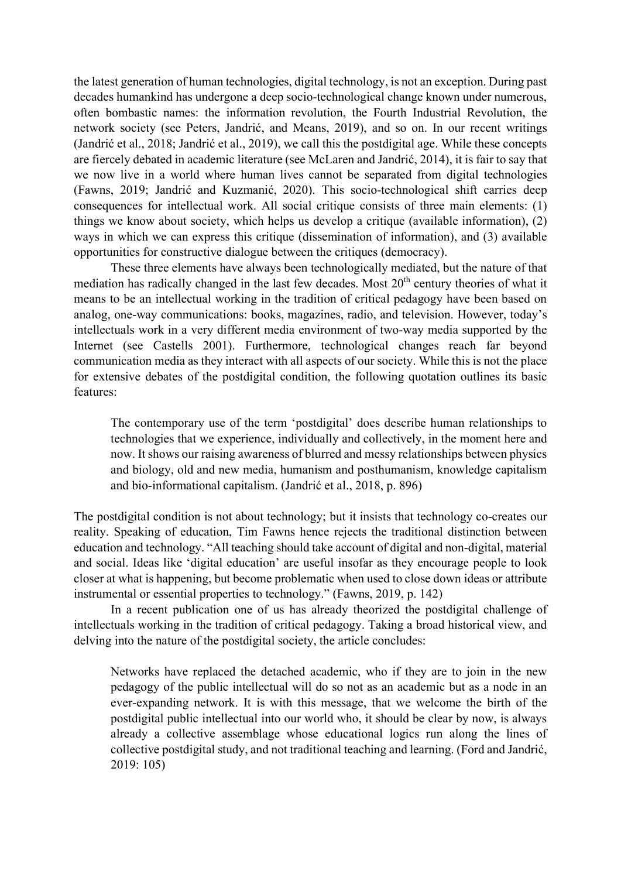the latest generation of human technologies, digital technology, is not an exception. During past decades humankind has undergone a deep socio-technological change known under numerous, often bombastic names: the information revolution, the Fourth Industrial Revolution, the network society (see Peters, Jandrić, and Means, 2019), and so on. In our recent writings (Jandrić et al., 2018; Jandrić et al., 2019), we call this the postdigital age. While these concepts are fiercely debated in academic literature (see McLaren and Jandrić, 2014), it is fair to say that we now live in a world where human lives cannot be separated from digital technologies (Fawns, 2019; Jandrić and Kuzmanić, 2020). This socio-technological shift carries deep consequences for intellectual work. All social critique consists of three main elements: (1) things we know about society, which helps us develop a critique (available information), (2) ways in which we can express this critique (dissemination of information), and (3) available opportunities for constructive dialogue between the critiques (democracy).

These three elements have always been technologically mediated, but the nature of that mediation has radically changed in the last few decades. Most  $20<sup>th</sup>$  century theories of what it means to be an intellectual working in the tradition of critical pedagogy have been based on analog, one-way communications: books, magazines, radio, and television. However, today's intellectuals work in a very different media environment of two-way media supported by the Internet (see Castells 2001). Furthermore, technological changes reach far beyond communication media as they interact with all aspects of our society. While this is not the place for extensive debates of the postdigital condition, the following quotation outlines its basic features:

The contemporary use of the term 'postdigital' does describe human relationships to technologies that we experience, individually and collectively, in the moment here and now. It shows our raising awareness of blurred and messy relationships between physics and biology, old and new media, humanism and posthumanism, knowledge capitalism and bio-informational capitalism. (Jandrić et al., 2018, p. 896)

The postdigital condition is not about technology; but it insists that technology co-creates our reality. Speaking of education, Tim Fawns hence rejects the traditional distinction between education and technology. "All teaching should take account of digital and non-digital, material and social. Ideas like 'digital education' are useful insofar as they encourage people to look closer at what is happening, but become problematic when used to close down ideas or attribute instrumental or essential properties to technology." (Fawns, 2019, p. 142)

In a recent publication one of us has already theorized the postdigital challenge of intellectuals working in the tradition of critical pedagogy. Taking a broad historical view, and delving into the nature of the postdigital society, the article concludes:

Networks have replaced the detached academic, who if they are to join in the new pedagogy of the public intellectual will do so not as an academic but as a node in an ever-expanding network. It is with this message, that we welcome the birth of the postdigital public intellectual into our world who, it should be clear by now, is always already a collective assemblage whose educational logics run along the lines of collective postdigital study, and not traditional teaching and learning. (Ford and Jandrić, 2019: 105)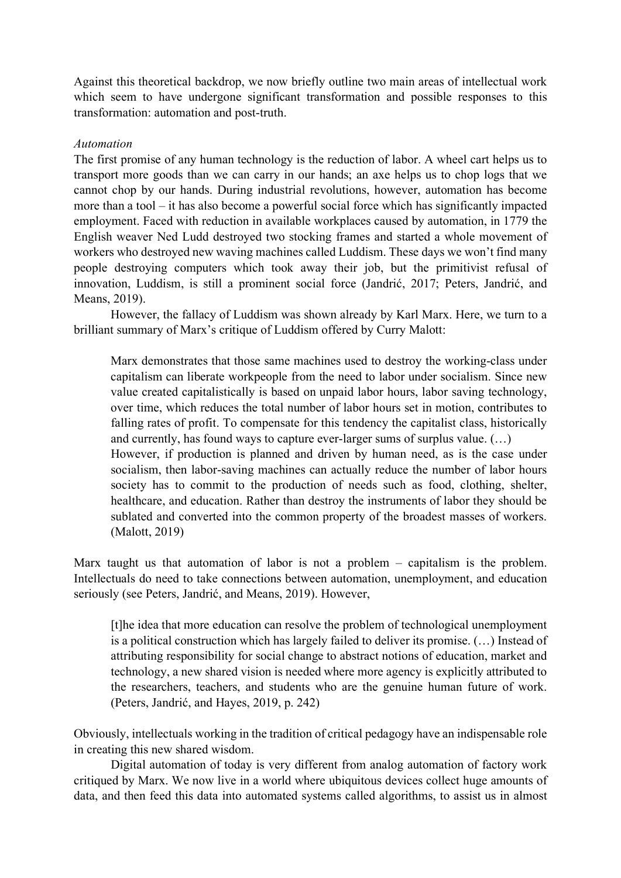Against this theoretical backdrop, we now briefly outline two main areas of intellectual work which seem to have undergone significant transformation and possible responses to this transformation: automation and post-truth.

#### *Automation*

The first promise of any human technology is the reduction of labor. A wheel cart helps us to transport more goods than we can carry in our hands; an axe helps us to chop logs that we cannot chop by our hands. During industrial revolutions, however, automation has become more than a tool – it has also become a powerful social force which has significantly impacted employment. Faced with reduction in available workplaces caused by automation, in 1779 the English weaver Ned Ludd destroyed two stocking frames and started a whole movement of workers who destroyed new waving machines called Luddism. These days we won't find many people destroying computers which took away their job, but the primitivist refusal of innovation, Luddism, is still a prominent social force (Jandrić, 2017; Peters, Jandrić, and Means, 2019).

However, the fallacy of Luddism was shown already by Karl Marx. Here, we turn to a brilliant summary of Marx's critique of Luddism offered by Curry Malott:

Marx demonstrates that those same machines used to destroy the working-class under capitalism can liberate workpeople from the need to labor under socialism. Since new value created capitalistically is based on unpaid labor hours, labor saving technology, over time, which reduces the total number of labor hours set in motion, contributes to falling rates of profit. To compensate for this tendency the capitalist class, historically and currently, has found ways to capture ever-larger sums of surplus value. (…) However, if production is planned and driven by human need, as is the case under socialism, then labor-saving machines can actually reduce the number of labor hours society has to commit to the production of needs such as food, clothing, shelter, healthcare, and education. Rather than destroy the instruments of labor they should be sublated and converted into the common property of the broadest masses of workers. (Malott, 2019)

Marx taught us that automation of labor is not a problem – capitalism is the problem. Intellectuals do need to take connections between automation, unemployment, and education seriously (see Peters, Jandrić, and Means, 2019). However,

[t]he idea that more education can resolve the problem of technological unemployment is a political construction which has largely failed to deliver its promise. (…) Instead of attributing responsibility for social change to abstract notions of education, market and technology, a new shared vision is needed where more agency is explicitly attributed to the researchers, teachers, and students who are the genuine human future of work. (Peters, Jandrić, and Hayes, 2019, p. 242)

Obviously, intellectuals working in the tradition of critical pedagogy have an indispensable role in creating this new shared wisdom.

Digital automation of today is very different from analog automation of factory work critiqued by Marx. We now live in a world where ubiquitous devices collect huge amounts of data, and then feed this data into automated systems called algorithms, to assist us in almost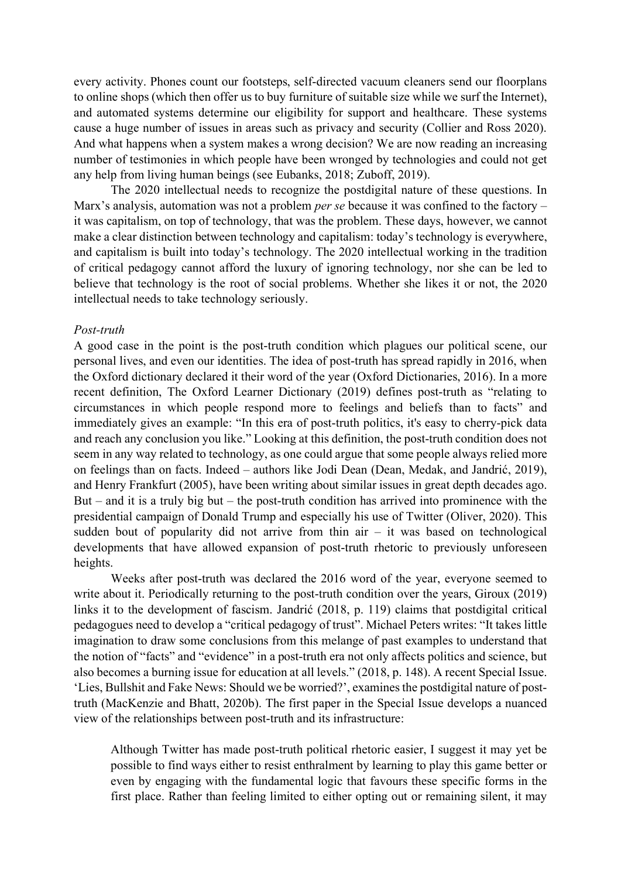every activity. Phones count our footsteps, self-directed vacuum cleaners send our floorplans to online shops (which then offer us to buy furniture of suitable size while we surf the Internet), and automated systems determine our eligibility for support and healthcare. These systems cause a huge number of issues in areas such as privacy and security (Collier and Ross 2020). And what happens when a system makes a wrong decision? We are now reading an increasing number of testimonies in which people have been wronged by technologies and could not get any help from living human beings (see Eubanks, 2018; Zuboff, 2019).

The 2020 intellectual needs to recognize the postdigital nature of these questions. In Marx's analysis, automation was not a problem *per se* because it was confined to the factory – it was capitalism, on top of technology, that was the problem. These days, however, we cannot make a clear distinction between technology and capitalism: today's technology is everywhere, and capitalism is built into today's technology. The 2020 intellectual working in the tradition of critical pedagogy cannot afford the luxury of ignoring technology, nor she can be led to believe that technology is the root of social problems. Whether she likes it or not, the 2020 intellectual needs to take technology seriously.

#### *Post-truth*

A good case in the point is the post-truth condition which plagues our political scene, our personal lives, and even our identities. The idea of post-truth has spread rapidly in 2016, when the Oxford dictionary declared it their word of the year (Oxford Dictionaries, 2016). In a more recent definition, The Oxford Learner Dictionary (2019) defines post-truth as "relating to circumstances in which people respond more to feelings and beliefs than to facts" and immediately gives an example: "In this era of post-truth politics, it's easy to cherry-pick data and reach any conclusion you like." Looking at this definition, the post-truth condition does not seem in any way related to technology, as one could argue that some people always relied more on feelings than on facts. Indeed – authors like Jodi Dean (Dean, Medak, and Jandrić, 2019), and Henry Frankfurt (2005), have been writing about similar issues in great depth decades ago. But – and it is a truly big but – the post-truth condition has arrived into prominence with the presidential campaign of Donald Trump and especially his use of Twitter (Oliver, 2020). This sudden bout of popularity did not arrive from thin  $air - it$  was based on technological developments that have allowed expansion of post-truth rhetoric to previously unforeseen heights.

Weeks after post-truth was declared the 2016 word of the year, everyone seemed to write about it. Periodically returning to the post-truth condition over the years, Giroux (2019) links it to the development of fascism. Jandrić (2018, p. 119) claims that postdigital critical pedagogues need to develop a "critical pedagogy of trust". Michael Peters writes: "It takes little imagination to draw some conclusions from this melange of past examples to understand that the notion of "facts" and "evidence" in a post-truth era not only affects politics and science, but also becomes a burning issue for education at all levels." (2018, p. 148). A recent Special Issue. 'Lies, Bullshit and Fake News: Should we be worried?', examines the postdigital nature of posttruth (MacKenzie and Bhatt, 2020b). The first paper in the Special Issue develops a nuanced view of the relationships between post-truth and its infrastructure:

Although Twitter has made post-truth political rhetoric easier, I suggest it may yet be possible to find ways either to resist enthralment by learning to play this game better or even by engaging with the fundamental logic that favours these specific forms in the first place. Rather than feeling limited to either opting out or remaining silent, it may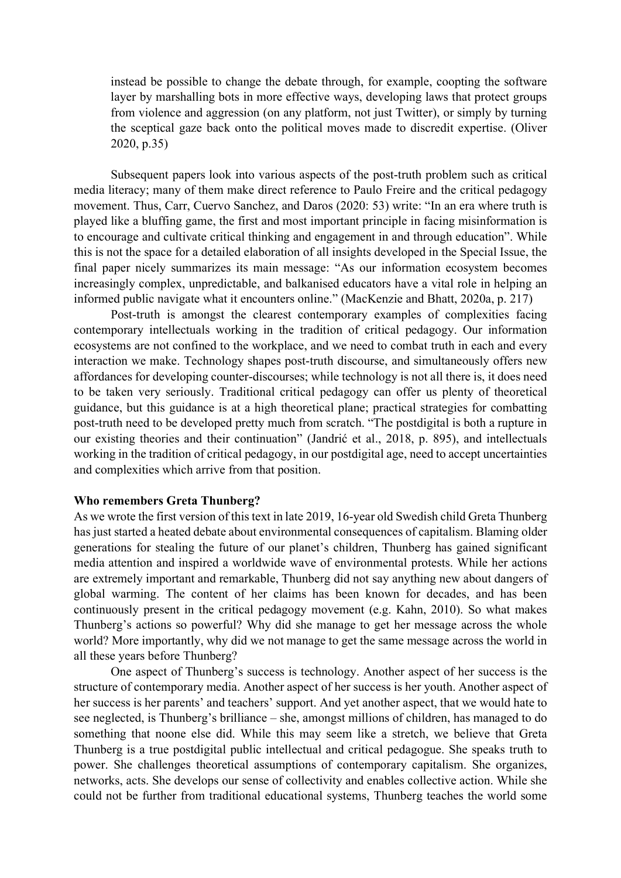instead be possible to change the debate through, for example, coopting the software layer by marshalling bots in more effective ways, developing laws that protect groups from violence and aggression (on any platform, not just Twitter), or simply by turning the sceptical gaze back onto the political moves made to discredit expertise. (Oliver 2020, p.35)

Subsequent papers look into various aspects of the post-truth problem such as critical media literacy; many of them make direct reference to Paulo Freire and the critical pedagogy movement. Thus, Carr, Cuervo Sanchez, and Daros (2020: 53) write: "In an era where truth is played like a bluffing game, the first and most important principle in facing misinformation is to encourage and cultivate critical thinking and engagement in and through education". While this is not the space for a detailed elaboration of all insights developed in the Special Issue, the final paper nicely summarizes its main message: "As our information ecosystem becomes increasingly complex, unpredictable, and balkanised educators have a vital role in helping an informed public navigate what it encounters online." (MacKenzie and Bhatt, 2020a, p. 217)

Post-truth is amongst the clearest contemporary examples of complexities facing contemporary intellectuals working in the tradition of critical pedagogy. Our information ecosystems are not confined to the workplace, and we need to combat truth in each and every interaction we make. Technology shapes post-truth discourse, and simultaneously offers new affordances for developing counter-discourses; while technology is not all there is, it does need to be taken very seriously. Traditional critical pedagogy can offer us plenty of theoretical guidance, but this guidance is at a high theoretical plane; practical strategies for combatting post-truth need to be developed pretty much from scratch. "The postdigital is both a rupture in our existing theories and their continuation" (Jandrić et al., 2018, p. 895), and intellectuals working in the tradition of critical pedagogy, in our postdigital age, need to accept uncertainties and complexities which arrive from that position.

#### **Who remembers Greta Thunberg?**

As we wrote the first version of this text in late 2019, 16-year old Swedish child Greta Thunberg has just started a heated debate about environmental consequences of capitalism. Blaming older generations for stealing the future of our planet's children, Thunberg has gained significant media attention and inspired a worldwide wave of environmental protests. While her actions are extremely important and remarkable, Thunberg did not say anything new about dangers of global warming. The content of her claims has been known for decades, and has been continuously present in the critical pedagogy movement (e.g. Kahn, 2010). So what makes Thunberg's actions so powerful? Why did she manage to get her message across the whole world? More importantly, why did we not manage to get the same message across the world in all these years before Thunberg?

One aspect of Thunberg's success is technology. Another aspect of her success is the structure of contemporary media. Another aspect of her success is her youth. Another aspect of her success is her parents' and teachers' support. And yet another aspect, that we would hate to see neglected, is Thunberg's brilliance – she, amongst millions of children, has managed to do something that noone else did. While this may seem like a stretch, we believe that Greta Thunberg is a true postdigital public intellectual and critical pedagogue. She speaks truth to power. She challenges theoretical assumptions of contemporary capitalism. She organizes, networks, acts. She develops our sense of collectivity and enables collective action. While she could not be further from traditional educational systems, Thunberg teaches the world some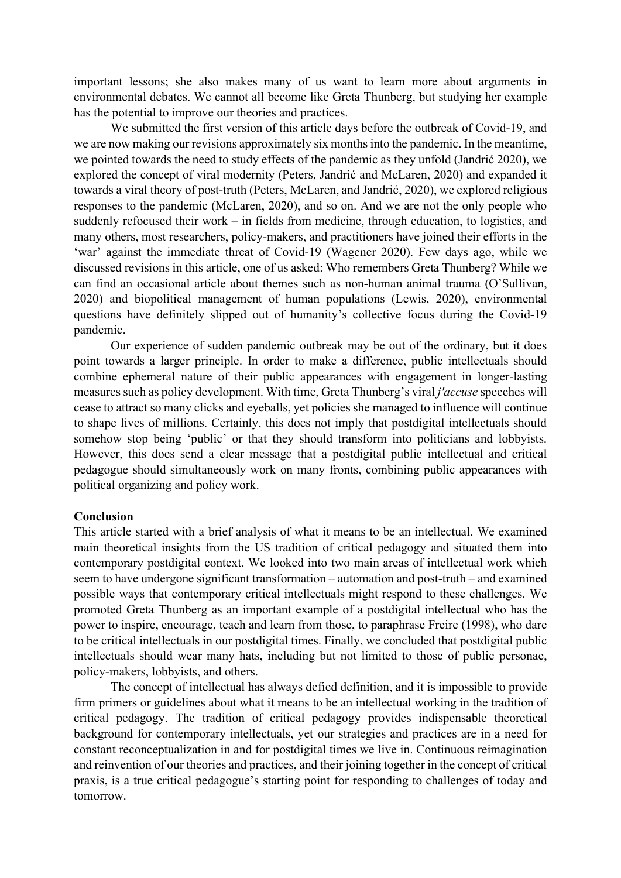important lessons; she also makes many of us want to learn more about arguments in environmental debates. We cannot all become like Greta Thunberg, but studying her example has the potential to improve our theories and practices.

We submitted the first version of this article days before the outbreak of Covid-19, and we are now making our revisions approximately six months into the pandemic. In the meantime, we pointed towards the need to study effects of the pandemic as they unfold (Jandrić 2020), we explored the concept of viral modernity (Peters, Jandrić and McLaren, 2020) and expanded it towards a viral theory of post-truth (Peters, McLaren, and Jandrić, 2020), we explored religious responses to the pandemic (McLaren, 2020), and so on. And we are not the only people who suddenly refocused their work – in fields from medicine, through education, to logistics, and many others, most researchers, policy-makers, and practitioners have joined their efforts in the 'war' against the immediate threat of Covid-19 (Wagener 2020). Few days ago, while we discussed revisions in this article, one of us asked: Who remembers Greta Thunberg? While we can find an occasional article about themes such as non-human animal trauma (O'Sullivan, 2020) and biopolitical management of human populations (Lewis, 2020), environmental questions have definitely slipped out of humanity's collective focus during the Covid-19 pandemic.

Our experience of sudden pandemic outbreak may be out of the ordinary, but it does point towards a larger principle. In order to make a difference, public intellectuals should combine ephemeral nature of their public appearances with engagement in longer-lasting measures such as policy development. With time, Greta Thunberg's viral *j'accuse* speeches will cease to attract so many clicks and eyeballs, yet policies she managed to influence will continue to shape lives of millions. Certainly, this does not imply that postdigital intellectuals should somehow stop being 'public' or that they should transform into politicians and lobbyists. However, this does send a clear message that a postdigital public intellectual and critical pedagogue should simultaneously work on many fronts, combining public appearances with political organizing and policy work.

#### **Conclusion**

This article started with a brief analysis of what it means to be an intellectual. We examined main theoretical insights from the US tradition of critical pedagogy and situated them into contemporary postdigital context. We looked into two main areas of intellectual work which seem to have undergone significant transformation – automation and post-truth – and examined possible ways that contemporary critical intellectuals might respond to these challenges. We promoted Greta Thunberg as an important example of a postdigital intellectual who has the power to inspire, encourage, teach and learn from those, to paraphrase Freire (1998), who dare to be critical intellectuals in our postdigital times. Finally, we concluded that postdigital public intellectuals should wear many hats, including but not limited to those of public personae, policy-makers, lobbyists, and others.

The concept of intellectual has always defied definition, and it is impossible to provide firm primers or guidelines about what it means to be an intellectual working in the tradition of critical pedagogy. The tradition of critical pedagogy provides indispensable theoretical background for contemporary intellectuals, yet our strategies and practices are in a need for constant reconceptualization in and for postdigital times we live in. Continuous reimagination and reinvention of our theories and practices, and their joining together in the concept of critical praxis, is a true critical pedagogue's starting point for responding to challenges of today and tomorrow.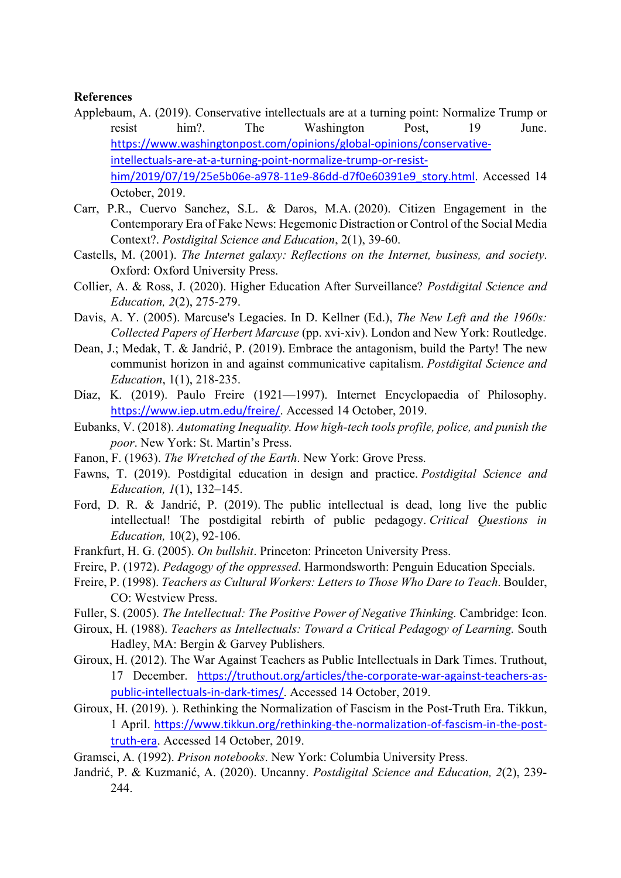#### **References**

- Applebaum, A. (2019). Conservative intellectuals are at a turning point: Normalize Trump or resist him?. The Washington Post, 19 June. [https://www.washingtonpost.com/opinions/global-opinions/conservative](https://www.washingtonpost.com/opinions/global-opinions/conservative-intellectuals-are-at-a-turning-point-normalize-trump-or-resist-him/2019/07/19/25e5b06e-a978-11e9-86dd-d7f0e60391e9_story.html)[intellectuals-are-at-a-turning-point-normalize-trump-or-resist](https://www.washingtonpost.com/opinions/global-opinions/conservative-intellectuals-are-at-a-turning-point-normalize-trump-or-resist-him/2019/07/19/25e5b06e-a978-11e9-86dd-d7f0e60391e9_story.html)[him/2019/07/19/25e5b06e-a978-11e9-86dd-d7f0e60391e9\\_story.html](https://www.washingtonpost.com/opinions/global-opinions/conservative-intellectuals-are-at-a-turning-point-normalize-trump-or-resist-him/2019/07/19/25e5b06e-a978-11e9-86dd-d7f0e60391e9_story.html). Accessed 14 October, 2019.
- Carr, P.R., Cuervo Sanchez, S.L. & Daros, M.A. (2020). Citizen Engagement in the Contemporary Era of Fake News: Hegemonic Distraction or Control of the Social Media Context?. *Postdigital Science and Education*, 2(1), 39-60.
- Castells, M. (2001). *The Internet galaxy: Reflections on the Internet, business, and society*. Oxford: Oxford University Press.
- Collier, A. & Ross, J. (2020). Higher Education After Surveillance? *Postdigital Science and Education, 2*(2), 275-279.
- Davis, A. Y. (2005). Marcuse's Legacies. In D. Kellner (Ed.), *The New Left and the 1960s: Collected Papers of Herbert Marcuse* (pp. xvi-xiv). London and New York: Routledge.
- Dean, J.; Medak, T. & Jandrić, P. (2019). Embrace the antagonism, build the Party! The new communist horizon in and against communicative capitalism. *Postdigital Science and Education*, 1(1), 218-235.
- Díaz, K. (2019). Paulo Freire (1921—1997). Internet Encyclopaedia of Philosophy. <https://www.iep.utm.edu/freire/>. Accessed 14 October, 2019.
- Eubanks, V. (2018). *Automating Inequality. How high-tech tools profile, police, and punish the poor*. New York: St. Martin's Press.
- Fanon, F. (1963). *The Wretched of the Earth*. New York: Grove Press.
- Fawns, T. (2019). Postdigital education in design and practice. *Postdigital Science and Education, 1*(1), 132–145.
- Ford, D. R. & Jandrić, P. (2019). The public intellectual is dead, long live the public intellectual! The postdigital rebirth of public pedagogy. *Critical Questions in Education,* 10(2), 92-106.
- Frankfurt, H. G. (2005). *On bullshit*. Princeton: Princeton University Press.
- Freire, P. (1972). *Pedagogy of the oppressed*. Harmondsworth: Penguin Education Specials.
- Freire, P. (1998). *Teachers as Cultural Workers: Letters to Those Who Dare to Teach*. Boulder, CO: Westview Press.
- Fuller, S. (2005). *The Intellectual: The Positive Power of Negative Thinking.* Cambridge: Icon.
- Giroux, H. (1988). *Teachers as Intellectuals: Toward a Critical Pedagogy of Learning.* South Hadley, MA: Bergin & Garvey Publishers.
- Giroux, H. (2012). The War Against Teachers as Public Intellectuals in Dark Times. Truthout, 17 December. [https://truthout.org/articles/the-corporate-war-against-teachers-as](https://truthout.org/articles/the-corporate-war-against-teachers-as-public-intellectuals-in-dark-times/)[public-intellectuals-in-dark-times/](https://truthout.org/articles/the-corporate-war-against-teachers-as-public-intellectuals-in-dark-times/). Accessed 14 October, 2019.
- Giroux, H. (2019). ). Rethinking the Normalization of Fascism in the Post-Truth Era. Tikkun, 1 April. [https://www.tikkun.org/rethinking-the-normalization-of-fascism-in-the-post](https://www.tikkun.org/rethinking-the-normalization-of-fascism-in-the-post-truth-era)[truth-era](https://www.tikkun.org/rethinking-the-normalization-of-fascism-in-the-post-truth-era). Accessed 14 October, 2019.
- Gramsci, A. (1992). *Prison notebooks*. New York: Columbia University Press.
- Jandrić, P. & Kuzmanić, A. (2020). Uncanny. *Postdigital Science and Education, 2*(2), 239- 244.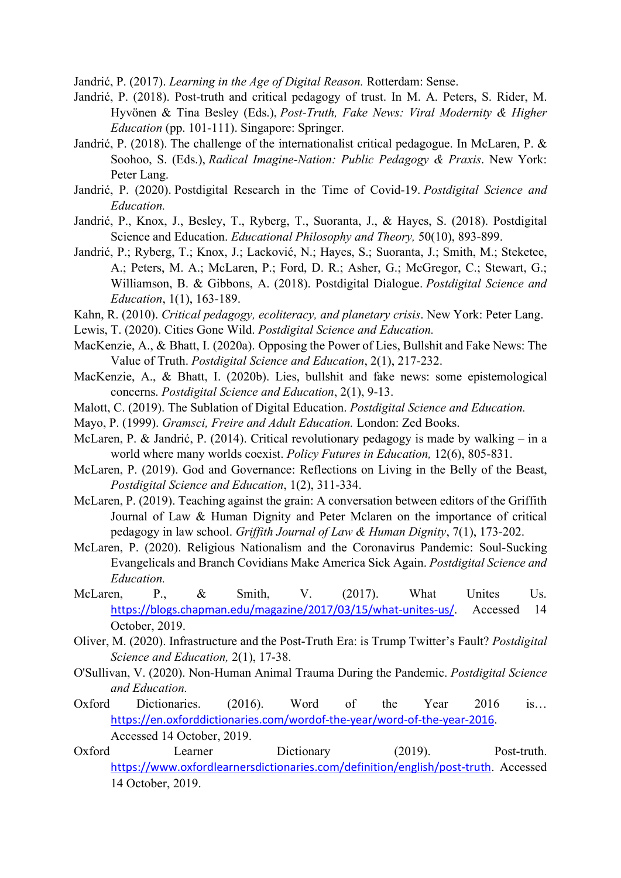Jandrić, P. (2017). *Learning in the Age of Digital Reason.* Rotterdam: Sense.

- Jandrić, P. (2018). Post-truth and critical pedagogy of trust. In M. A. Peters, S. Rider, M. Hyvönen & Tina Besley (Eds.), *Post-Truth, Fake News: Viral Modernity & Higher Education* (pp. 101-111). Singapore: Springer.
- Jandrić, P. (2018). The challenge of the internationalist critical pedagogue. In McLaren, P. & Soohoo, S. (Eds.), *Radical Imagine-Nation: Public Pedagogy & Praxis*. New York: Peter Lang.
- Jandrić, P. (2020). Postdigital Research in the Time of Covid-19. *Postdigital Science and Education.*
- Jandrić, P., Knox, J., Besley, T., Ryberg, T., Suoranta, J., & Hayes, S. (2018). Postdigital Science and Education. *Educational Philosophy and Theory,* 50(10), 893-899.
- Jandrić, P.; Ryberg, T.; Knox, J.; Lacković, N.; Hayes, S.; Suoranta, J.; Smith, M.; Steketee, A.; Peters, M. A.; McLaren, P.; Ford, D. R.; Asher, G.; McGregor, C.; Stewart, G.; Williamson, B. & Gibbons, A. (2018). Postdigital Dialogue. *Postdigital Science and Education*, 1(1), 163-189.
- Kahn, R. (2010). *Critical pedagogy, ecoliteracy, and planetary crisis*. New York: Peter Lang.
- Lewis, T. (2020). Cities Gone Wild. *Postdigital Science and Education.*
- MacKenzie, A., & Bhatt, I. (2020a). Opposing the Power of Lies, Bullshit and Fake News: The Value of Truth. *Postdigital Science and Education*, 2(1), 217-232.
- MacKenzie, A., & Bhatt, I. (2020b). Lies, bullshit and fake news: some epistemological concerns. *Postdigital Science and Education*, 2(1), 9-13.
- Malott, C. (2019). The Sublation of Digital Education. *Postdigital Science and Education.*
- Mayo, P. (1999). *Gramsci, Freire and Adult Education.* London: Zed Books.
- McLaren, P. & Jandrić, P. (2014). Critical revolutionary pedagogy is made by walking in a world where many worlds coexist. *Policy Futures in Education,* 12(6), 805-831.
- McLaren, P. (2019). God and Governance: Reflections on Living in the Belly of the Beast, *Postdigital Science and Education*, 1(2), 311-334.
- McLaren, P. (2019). Teaching against the grain: A conversation between editors of the Griffith Journal of Law & Human Dignity and Peter Mclaren on the importance of critical pedagogy in law school. *Griffith Journal of Law & Human Dignity*, 7(1), 173-202.
- McLaren, P. (2020). Religious Nationalism and the Coronavirus Pandemic: Soul-Sucking Evangelicals and Branch Covidians Make America Sick Again. *Postdigital Science and Education.*
- McLaren, P., & Smith, V. (2017). What Unites Us. <https://blogs.chapman.edu/magazine/2017/03/15/what-unites-us/>. Accessed 14 October, 2019.
- Oliver, M. (2020). Infrastructure and the Post-Truth Era: is Trump Twitter's Fault? *Postdigital Science and Education,* 2(1), 17-38.
- O'Sullivan, V. (2020). Non-Human Animal Trauma During the Pandemic. *Postdigital Science and Education.*
- Oxford Dictionaries. (2016). Word of the Year 2016 is… <https://en.oxforddictionaries.com/wordof-the-year/word-of-the-year-2016>. Accessed 14 October, 2019.
- Oxford Learner Dictionary (2019). Post-truth. <https://www.oxfordlearnersdictionaries.com/definition/english/post-truth>. Accessed 14 October, 2019.